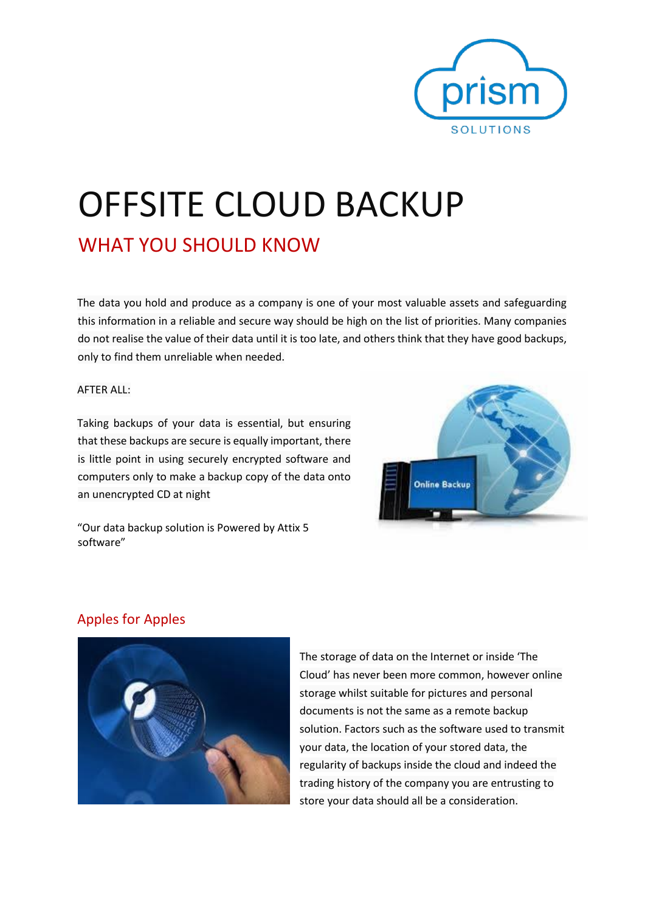

# OFFSITE CLOUD BACKUP

# WHAT YOU SHOULD KNOW

The data you hold and produce as a company is one of your most valuable assets and safeguarding this information in a reliable and secure way should be high on the list of priorities. Many companies do not realise the value of their data until it is too late, and others think that they have good backups, only to find them unreliable when needed.

AFTER ALL:

Taking backups of your data is essential, but ensuring that these backups are secure is equally important, there is little point in using securely encrypted software and computers only to make a backup copy of the data onto an unencrypted CD at night



"Our data backup solution is Powered by Attix 5 software"

# Apples for Apples



The storage of data on the Internet or inside 'The Cloud' has never been more common, however online storage whilst suitable for pictures and personal documents is not the same as a remote backup solution. Factors such as the software used to transmit your data, the location of your stored data, the regularity of backups inside the cloud and indeed the trading history of the company you are entrusting to store your data should all be a consideration.